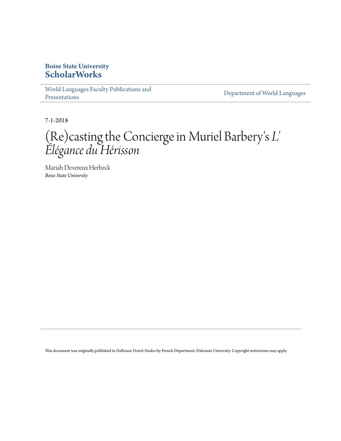## **Boise State University [ScholarWorks](https://scholarworks.boisestate.edu)**

[World Languages Faculty Publications and](https://scholarworks.boisestate.edu/lang_facpubs) [Presentations](https://scholarworks.boisestate.edu/lang_facpubs)

[Department of World Languages](https://scholarworks.boisestate.edu/languages)

7-1-2018

# (Re)casting the Concierge in Muriel Barbery ' s *L' Élégance du Hérisson*

Mariah Devereux Herbeck *Boise State University*

This document was originally published in *Dalhousie French Studies* by French Department, Dahousie University. Copyright restrictions may apply.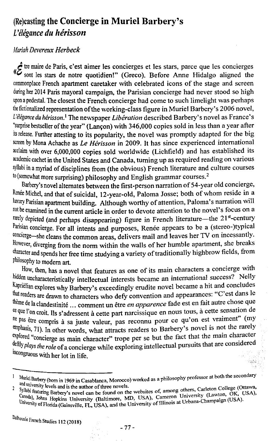### (Re)casting **the Concierge in Muriel Barbery's**  *L'elegance du herisson*

### *Mariah Devereux Herbeck*

forte maire de Paris, c'est aimer les concierges et les stars, parce que les concierges (*f* sont les stars de notre quotidien!" (Greco). Before Anne Hidalgo aligned the commonplace French apartment caretaker with celebrated icons of the stage and screen during her 2014 Paris mayoral campaign, the Parisian concierge had never stood so high upon a pedestal. The closest the French concierge had come to such limelight was perhaps the fictionalized representation of the working-class figure in Muriel Barbery's 2006 novel, *L 'elegance du herisson.1* The newspaper *Liberation* described Barbery' s novel as France's "surprise bestseller of the year" (Lancon) with 346,000 copies sold in less than a year after its release. Further attesting to its popularity, the novel was promptly adapted for the big screen by Mona Achache as *Le Herisson* in 2009. It has since experienced international acclaim with over 6,000,000 copies sold worldwide (Lichfield) and has established its academic cachet in the United States and Canada, turning up as required reading on various syllabi in a myriad of disciplines from (the obvious) French literature and culture courses to (somewhat more surprising) philosophy and English grammar courses.<sup>2</sup>

Barbery's novel alternates between the first-person narration of 54-year old concierge, Renée Michel, and that of suicidal, 12-year-old, Paloma Josse; both of whom reside in a luxury Parisian apartment building. Although worthy of attention, Paloma's narration will not be examined in the current article in order to devote attention to the novel's focus on a rarely depicted (and perhaps disappearing) figure in French literature—the  $21<sup>st</sup>$ -century Parisian concierge. For all intents and purposes, Renée appears to be a (stereo-)typical concierge-she cleans the common areas, delivers mail and leaves her TV on incessantly. However, diverging from the norm within the walls of her humble apartment, she breaks character and spends her free time studying a variety of traditionally highbrow fields, from philosophy to modem art.

How, then, has a novel that features as one of its main characters a concierge with hidden uncharacteristically intellectual interests became an international success? Nelly Kaprielian explores why Barbery' s exceedingly erudite novel became a hit and concludes that readers are drawn to characters who defy convention and appearances: "C'est dans le theme de Ia clandestinite ... comment un etre *en apparence* fade est en fait autre chose que ce que !'on croit. lis s'adressent a cette part narcissique en nous tous, a cette sensation de ne pas être compris à sa juste valeur, pas reconnu pour ce qu'on est vraiment" (my emphasis, 71). In other words, what attracts readers to Barbery's novel is not the rarely explored "concierge as main character" trope per se but the fact that the main character deftly *plays the role* of a concierge while exploring intellectual pursuits that are considered incongruous with her lot in life.

 $\cup_{\tilde{\mathcal{A}}}\psi$ 

<sup>1</sup> Muriel Barbery (born in 1969 in Casablanca, Morocco) worked as a philosophy professor at both the secondary<br>3 and university levels and is the author of three novels.

and university levels and is the author of three novels.<br>Syllabi featuring Barbery's novel can be found on the websites of, among others, Carleton College (Ottawa, Canada), Johns Hopkins University (Baltimore, MD, USA), Cameron University (Lawton, OK, USA), Camada), Johns Hopkins University (Baltimore, MD, USA), Cameron University (Lawton, OK, USA), University of Florida (Gainsville,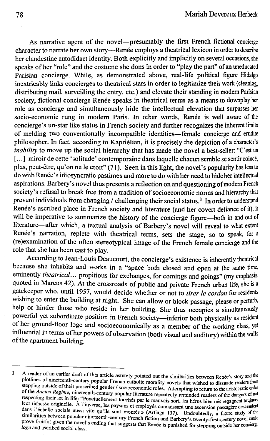As narrative agent of the novel--presumably the first French fictional concierge character to narrate her own story—Renée employs a theatrical lexicon in order to describe her clandestine autodidact identity. Both explicitly and implicitly on several occasions, she speaks of her "role" and the costume she dons in order to "play the part" of an uneducated Parisian concierge. While, as demonstrated above, real-life political figure Hidalgo inextricably links concierges to theatrical stars in order to legitimize their work (cleaning, distributing mail, surveilling the entry, etc.) and elevate their standing in modem Parisian society, fictional concierge Renée speaks in theatrical terms as a means to downplay her role as concierge and simultaneously hide the intellectual elevation that surpasses her socio-economic rung in modern Paris. In other words, Renée is well aware of the concierge's un-star like status in French society and further recognizes the inherent limits of melding two conventionally incompatible identities-female concierge and erudite philosopher. In fact, according to Kaprielian, it is precisely the depiction of a character's *inability* to move up the social hierarchy that has made the novel a best-seller: "C'est un [...] miroir de cette 'solitude' contemporaine dans laquelle chacun semble se sentir coincé, plus, peut-etre, qu'on ne le croit" (71). Seen in this light, the novel's popularity has less to do with Renée's idiosyncratic pastimes and more to do with her need to hide her intellectual aspirations. Barbery's novel thus presents a reflection on and questioning of modem French society's refusal to break free from a tradition of socioeconomic norms and hierarchy that prevent individuals from changing / challenging their social status.<sup>3</sup> In order to understand Renée's ascribed place in French society and literature (and her covert defiance of it), it will be imperative to summarize the history of the concierge figure-both in and out of literature-after which, a textual analysis of Barbery's novel will reveal to what extent Renée's narration, replete with theatrical terms, sets the stage, so to speak, for a (re )examination of the often stereotypical image of the French female concierge and the role that she has been cast to play.

According to Jean-Louis Deaucourt, the concierge's existence is inherently theatrical because she inhabits and works in a "space both closed and open at the same time, eminently *theatrical* ... propitious for exchanges, for comings and goings" (my emphasis, quoted in Marcus 42). At the crossroads of public and private French urban life, she is a gatekeeper who, until 1957, would decide whether or not to *tirer /e cordon* for residents wishing to enter the building at night. She can allow or block passage, please or perturb, help or hinder those who reside in her building. She thus occupies a simultaneously powerful yet subordinate position in French society-inferior both physically as resident of her ground-floor loge and socioeconomically as a member of the working class, yet influential in terms of her powers of observation (both visual and auditory) within the walls of the apartment building.

<sup>3</sup> A reader of an earlier draft of this article astutely pointed out the similarities between Renee's story and the plotlines of nineteenth-century popular French catholic morality novels that wished to dissuade readers from stepping outside of their prescribed gender / socioeconomic roles. Attempting to return to the aristocratic order of the *Ancien Regime,* nineteenth-century popular literature repeatedly reminded readers of the dangers of not respecting their lot in life: "Ponctuellement touches par le mauvais sort, les heros bien nes regagnent toujours leur richesse originelle. A l'inverse, les paysans et employes connaissant une ascension passagere descendent dans l'échelle sociale aussi vite qu'ils sont montés » (Artiaga 137). Undoubtedly, a future study of the similarities between popular nineteenth-century French fiction and Barbery's twenty-first-century novel could prove fruitful given the novel's ending that suggests that Renée is punished for stepping outside her concierge *loge* and ascribed social class.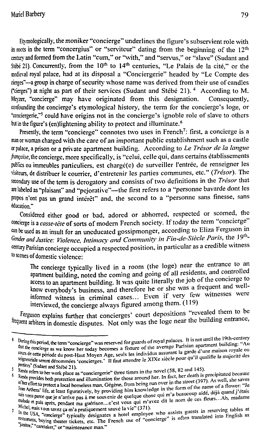Etymologically, the moniker "concierge" underlines the figure's subservient role with its roots in the term "concergius" or "serviteur" dating from the beginning of the 12<sup>th</sup> century and fonned from the Latin "cum," or ''with," and "servus," or "slave" (Sudant and Stébe 21). Concurrently, from the  $10<sup>th</sup>$  to  $14<sup>th</sup>$  centuries, "Le Palais de la cité," or the medieval royal palace, had at its disposal a "Conciergerie" headed by "Le Compte des cierges" -a group in charge of security whose name was derived from their use of candles ("cierges") at night as part of their services (Sudant and Stebe 21). 4 According toM. Meyzer, "concierge" may have originated from this designation. Consequently, confounding the concierge's etymological history, the term for the concierge's loge, or "conciergerie,"5 could have origins not in the concierge's ignoble role of slave to others but in the figure's (en)lightening ability to protect and illuminate. *<sup>6</sup>*

Presently, the term "concierge" connotes two uses in French<sup>7</sup>: first, a concierge is a man or woman charged with the care of an important public establishment such as a castle or palace, a prison or a private apartment building. According *toLe Tresor de Ia langue francaise,* the concierge, more specifically. is "celui, celle qui, dans certains etablissements publics ou immeubles particuliers, est chargé(e) de surveiller l'entrée, de renseigner les visiteurs, de distribuer le courrier, d'entretenir les parties communes, etc." (Trésor). The secondary use of the term is derogatory and consists of two definitions in the *Tresor* that are labeled as "plaisant" and "pejorative"—the first refers to a "personne bavarde dont les propos n'ont pas un grand intérêt" and, the second to a "personne sans finesse, sans education."

Considered either good or bad, adored or abhorred, respected or scorned, the concierge is a *casse-tete* of sorts of modem French society. If today the term "concierge" can be used as an insult for an uneducated gossipmonger, according to Eliza Ferguson in Gender and Justice: Violence, Intimacy and Community in Fin-de-Siècle Paris, the 19thcentury Parisian concierge occupied a respected position, in particular as a credible witness to scenes of domestic violence:

The concierge typically lived in a room (the loge) near the entrance to an apartment building, noted the coming and going of all residents, and controlled access to an apartment building. It was quite literally the job of the concierge to know everybody's business, and therefore he or she was a frequent and wellinformed witness in criminal cases... Even if very few witnesses were interviewed, the concierge always figured among them. (119)

Ferguson explains further that concierges' court depositions "revealed them to be frequent arbiters in domestic disputes. Not only was the loge near the building entrance,

It is not until the 19th-century<br>that the concierge as we know her today becomes a fixture of the average Parisian apartment building: "Au<br>form do we know her today becomes a fixture of the average Parisian apartment build that the concierge as we know her today becomes a fixture of the average Parisian apartment ouncum.<br>Supple cette periode du post-Haut Moyen Age, seuls les individus assurant la garde d'une maison royale ou<br>Supplementials e seur seigneuriale seront dénommées 'concierges.' Il faut attendre le XIXe siècle pour qu'il qualifie la majorité des<br>nomements : concierges.' Il faut attendre le XIXe siècle pour qu'il qualifie la majorité des portiers" (Sudant and Stebe 21 ).

 $\frac{5}{8}$  Refers to her work place as "conciergerie" three times in the novel (58, 82 and 145).

provides both protection and illumination for those around her. In fact, her death is precipitated because<br>of the saves 6 of ther effort to protect a local homeless man, Gegène, from being run over in the street (397). As well, she saves<br>Jean Arthens' life, at least figuratively, by providing him knowledge in the form of the name of a flower: sus vents au cast inguratively, by providing nim knowledge in the total of early aide, déjà quand j'étais<br>sus vents que je n'arrive pas à me souvenir de quelque chose qui n'a beaucoup aide, déjà quand j'étais malade et puis après, pendant ma guérison ... c'est vous qui m'avez dit le nom de ces fleurs...Ah, madame<br>Michel, mais vous savez ça m'a pratiquement sauvé la vie" (371).

Michel, mais yous savez ca m'a pratiquement sauve la vie "(371).<br>In the USA, "concierge" typically designates a hotel employee who assists guests in reserving tables at the USA, "concierge" typically designates a hotel emp 7 restaurants, buying theater tickets, etc. The French use of "concierge" is often translated into English as<br>"lanitor it at the french use of "concierge" is often translated into English as "<sup>janitor," "caretaker," or "maintenance man."</sup>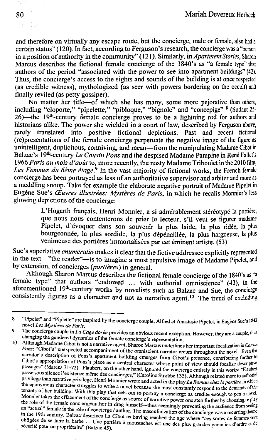and therefore on virtually any escape route, but the concierge, male or female, also had a certain status" ( 120). In fact, according to Ferguson's research, the concierge was a "person in a position of authority in the community" ( 121 ). Similarly, in *Apartment Stories,* Sharon Marcus describes the fictional female concierge of the 1840's as "a female type" that authors of the period "associated with the power to see into apartment buildings" (42). Thus, the concierge's access to the sights and sounds of the building is at once respected (as credible witness), mythologized (as seer with powers bordering on the occult) and finally reviled (as petty gossiper).

No matter her title-of which she has many, some more pejorative than others, including "cloporte," "pipelette," "pibloque," "bignole" and "concepige" 8 (Sudant 25-26)—the 19<sup>th</sup>-century female concierge proves to be a lightning rod for authors and historians alike. The power she wielded in a court of law, described by Ferguson above, rarely translated into positive fictional depictions. Past and recent fictional (re )presentations of the female concierge perpetuate the negative image of the figure as unintelligent, duplicitous, conniving, and mean-from the manipulating Madame Cibot in Balzac's 19<sup>th</sup>-century *Le Cousin Pons* and the despised Madame Pampine in René Fallet's 1966 Paris au mois d'août to, more recently, the nasty Madame Triboulet in the 2010 film, Les Femmes du 6ème étage.<sup>9</sup> In the vast majority of fictional works, the French female concierge has been portrayed as less of an authoritative supervisor and arbiter and more as a meddling snoop. Take for example the elaborate negative portrait of Madame Pipelet in Eugène Sue's Œuvres illustrées: Mystères de Paris, in which he recalls Monnier's less glowing depictions of the concierge:

> L'Hogarth français, Henri Monnier, a si admirablement stéréotypé la portière, que nous nous contenterons de prier Ie lecteur, s'il veut se figurer madame Pipelet, d'évoquer dans son souvenir la plus laide, la plus ridée, la plus bourgeonnée, la plus sordide, la plus dépénaillée, la plus hargneuse, la plus venimeuse des portières immortalisées par cet éminent artiste. (53)

Sue's superlative *enumeratio* makes it clear that the fictive addressee explicitly represented in the text-"the reader"-is to imagine a most repulsive image of Madame Pipelet, and by extension, of concierges *(portieres)* in general.

Although Sharon Marcus describes the fictional female concierge of the 1840's as "a female type" that authors "endowed ... with authorial omniscience" (43), in the aforementioned 19'h-century works by novelists such as Balzac and Sue, the concierge consistently figures as a character and not as narrative agent.<sup>10</sup> The trend of excluding

<sup>8</sup>  9 "Pipelet" and "Piplette" are inspired by the concierge couple, Alfred et Anastasie Pipelet, in Eugène Sue's 1843 novel *Les Mysteres de Paris.* 

The concierge couple in *La Cage dorée* provides an obvious recent exception. However, they are a couple, thus changing the gendered dynamics of the female concierge's representation.

<sup>10</sup> Although Madame Cibot is not a narrative agent, Sharon Marcus underlines her important focalization in *Cousin Pons:* "Cibot's' unexpected accompaniment of the omniscient narrator recurs throughout the novel. Even the narrator's description of Pons's apartment building emerges from Cibot's presence, contributing further to Cibot's appropriation of Pons's place as a central character whose point of view should focalize descriptive passages" (Marcus 71-72). Flaubert, on the other hand, ignored the concierge entirely in this works: "Flaubert passe sous silence l'existence même des concierges," (Caroline Strobbe 135). Although related more to authorial privilege than narrative privilege, Henri Monnier wrote and acted in the play *Le Roman chez la portiere* in which the eponymous character struggles to write a novel because she must constantly respond to the demands of the tenants of her building. With this play that sets out to portray a concierge as erudite enough to pen a novel, Monnier takes the effacement of the concierge as source of narrative power one step further by choosing to play the role of the female concierge/author in drag himself-thus seemingly preventing the audience from seeing an "actual" female in the role of concierge / author. The masculinization of the concierge was a recurring theme in the 19th century. Balzac describes La Cibot as having reached the age where "ces sortes de femmes sont obligees de se faire la barbe ... Une portiere a moustaches est une des plus grandes garanties d'ordre et de secunte pour un proprietaire" (Balzac 45).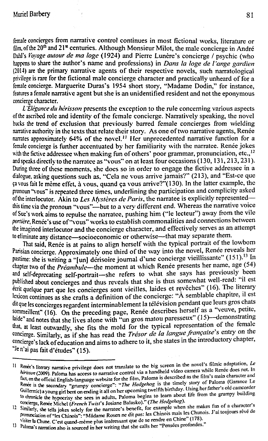female concierges from narrative control continues in most fictional works, literature or film, of the  $20<sup>th</sup>$  and  $21<sup>st</sup>$  centuries. Although Monsieur Milot, the male concierge in André Dahl's *Voyage autour de ma loge* (1924) and Pierre Lunère's concierge / psychic (who happens to share the author's name and professions) in *Dans Ia loge de l'ange gardien* (2014) are the primary narrative agents of their respective novels, such narratological privilege is rare for the fictional male concierge character and practically unheard of for a female concierge. Marguerite Duras's 1954 short story, "Madame Dodin," for instance, features a female narrative agent but she is an unidentified resident and not the eponymous concierge character.

*L "Elegance du herisson* presents the exception to the rule concerning various aspects of the ascribed role and identity of the female concierge. Narratively speaking, the novel bucks the trend of exclusion that previously barred female concierges from wielding narrative authority in the texts that relate their story. As one of two narrative agents, Renée narrates approximately  $64\%$  of the novel.<sup>11</sup> Her unprecedented narrative function for a female concierge is further accentuated by her familiarity with the narratee. Renee jokes with the fictive addressee when making fun of others' poor grammar, pronunciation, etc.,<sup>12</sup> and speaks directly to the narratec as "vous" on at least four occasions (130, 131,213, 231). During three of these moments. she docs so in order to engage the fictive addressee in a dialogue, asking questions such as. "Cela nc vous arrive jamais?" (213), and "Est-ce que ca rous fait le meme effet, a vous, quand ca vous arrive?"(130). In the latter example, the pronoun "vous" is repeated three times, underlining the participation and complicity asked of the interlocutor. Akin to *Les Mysteres de Paris,* the narratee is explicitly representedthis time via the pronoun "vous"-but to a very different end. Whereas the narrative voice of Sue's work aims to repulse the narratcc, pushing him ("le lecteur") away from the vile portière, Renée's use of "vous" works to establish commonalities and connections between the imagined interlocutor and the concierge character, and effectively serves as an attempt to eliminate any distance-socioeconomic or otherwise-that may separate them.

That said, Renee is at pains to align herself with the typical portrait of the lowbom Parisian concierge. Approximately one third of the way into the novel, Renée reveals her pastime: she is writing a "[un] derisoire journal d'une concierge vieillissante" (151).<sup>13</sup> In chapter two of the *Preambule*—the moment at which Renée presents her name, age (54) and self-deprecating self-portrait-she refers to what she says has previously been published about concierges and thus reveals that she is thus somewhat well-read: "il est ecrit quelque part que les concierges sont vieilles, laides et revêches" (16). The literary lexicon continues as she crafts a definition of the concierge: "A semblable chapitre, il est dit que les concierges regardent interrninablement Ia television pendant que leurs gros chats sommeillent" (16). On the preceding page, Renée describes herself as a "veuve, petite, laide" and notes that she lives alone with "un gros matou paresseux" (15)—demonstrating that, at least outwardly, she fits the mold for the typical representation of the female concierge. Similarly, as if she has read the *Tresor de Ia langue francaise's* entry on the concierge's lack of education and aims to adhere to it, she states inthe mtroductory chapter, "Je n'ai pas fait d'etudes"( 15).

<sup>&</sup>lt;sup>11</sup> Renee's literary narrative privilege does not translate to the big screen in the novel's filmic adaptation, *Le herisson (2009).* Paloma has access to narrative control via a handheld video camera while Renée does not. In fact, on the official English-languagewebsite for the film, Paloma is described as the film's mam character and Renée is the secondary "grumpy concierge": "The Hedgehog is the timely story of Paloma (Garance Le Guillermic) a young girl bent on ending it all on her upcoming twelfth birthday. Using her father's old camcorder to chronicle the hypocrisy she sees in adults, Paloma begins to learn about life from the grumpy building concierge, Renée Michel *(French Twist's Josiane Balasko)." (The Hedgehog)*.

<sup>12</sup> Similarly, she tells jokes solely for the narratee's benefit, for example when she makes fun of a character's Pronunciation of "les Chinois": "Mâdame Rosen ne dit pas: les Chinois mais les Chunois. J'ai toujours rêvé de \isiter laChune. C'est quand-meme plus interessant que de *se* rendre en Chine" (178).

<sup>13</sup> Paloma's narration also is sourced in her writing that she calls her "Pensees profondes."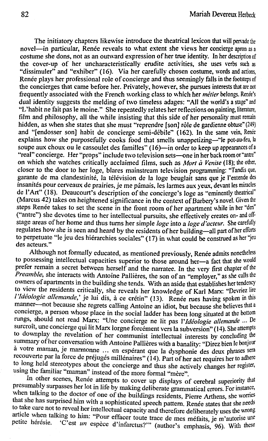The initiatory chapters likewise introduce the theatrical lexicon that will pervade the novel—in particular, Renée reveals to what extent she views her concierge apron as a costume she dons, not as an outward expression of her true identity. In her description of the cover-up of her uncharacteristically erudite activities, she uses verbs such as "dissimuler" and "exhiber" (16). Via her carefully chosen costume, words and actions, Renée plays her professional role of concierge and thus seemingly falls in the footsteps of the concierges that came before her. Privately, however, she pursues interests that are not frequently associated with the French working class to which her *métier* belongs. Renée's dual identity suggests the melding of two timeless adages: "All the world's a stage" and "L'habit ne fait pas le moine." She repeatedly relates her reflections on painting, literature, film and philosophy, all the while insisting that this side of her personality must remain hidden, as when she states that she must "reprendre [son] rôle de gardienne obtuse" (249) and "[endosser son] habit de concierge semi-débile" (162). In the same vein, Renée explains how she purposefully cooks food that smells unappetizing-"le pot-au-feu, Ia soupe aux choux ou le cassoulet des familles" (16)-in order to keep up appearances of a "real" concierge. Her "props" include two television sets-one in her back room or "antre" on which she watches critically acclaimed films, such as *Mort a Venise* (18); the other, closer to the door to her loge, blares mainstream television programming: "Tandis que, garante de ma clandestinité, la télévision de la loge beuglait sans que je l'entende des insanités pour cerveaux de prairies, je me pâmais, les larmes aux yeux, devant les miracles de l'Art" (18). Deaucourt's description of the concierge's loge as "eminently theatrical" (Marcus 42) takes on heightened significance in the context of Barbery's novel. Given the steps Renée takes to set the scene in the front room of her apartment while in her "den" ("antre") she devotes time to her intellectual pursuits, she effectively creates on-and offstage areas of her home and thus turns her simple *loge* into a *loge d'acteur.* She carefully regulates how she is seen and heard by the residents of her building-all part of her efforts to perpetuate "le jeu des hiérarchies sociales" (17) in what could be construed as her "jeu des acteurs."

Although not formally educated, as mentioned previously, Renée admits nonetheless to possessing intellectual capacities superior to those around her-a fact that she would prefer remain a secret between herself and the narratee. In the very first chapter of the *Preamble*, she interacts with Antoine Pallières, the son of an "employer," as she calls the owners of apartments in the building she tends. With an aside that establishes her tendency to view the residents critically, she reveals her knowledge of Karl Marx: "Devriez lire *l'Idéologie allemande*,' je lui dis, à ce crétin" (13). Renée rues having spoken in this manner-not because she regrets calling Antoine an idiot, but because she believes that a concierge, a person whose place in the social ladder has been long situated at the bottom rungs, should not read Marx: "Une concierge ne lit pas I' *Ideologie allemande* ... De surcroît, une concierge qui lit Marx lorgne forcement vers la subversion" (14). She attempts to downplay the revelation of her communist intellectual interests by concluding the summary of her conversation with Antoine Pallières with a banality: "Direz bien le bonjour à votre maman, je marmonne ... en espérant que la dysphonie des deux phrases sera recouverte par la force de préjugés millénaires" (14). Part of her act requires her to adhere to long held stereotypes about the concierge and thus she actively changes her register, using the familiar "maman" instead of the more formal "mère".

In other scenes, Renée attempts to cover up displays of cerebral superiority that presumably surpasses her lot in life by making deliberate grammatical errors. For instance, when talking to the doctor of one of the buildings residents, Pierre Arthens, she worries that she has surprised him with a sophisticated speech pattern. Renée states that she needs to take care not to reveal her intellectual capacity and therefore deliberately uses the wrong article when talking to him: "Pour effacer toute trace de mes méfaits, je m'autorise une petite hérésie. 'C'est *un* espèce d'infarctus?'" (author's emphasis, 96). With these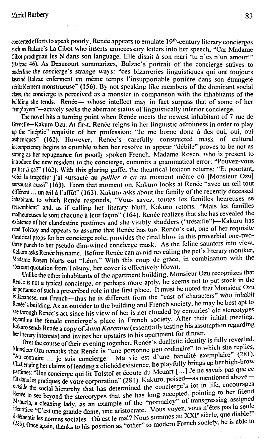concerted efforts to speak poorly, Renee appears to emulate 19'h-century literary concierges such as Balzac's La Cibot who inserts unnecessary letters into her speech, "Car Madame" Cibot prodiguait les N dans son language. Elle disait a son mari 'tu n'es n'un amour'" Balzac 46). As Deaucourt summarizes, Balzac's portrait of the concierge strives to underline the concierge's strange ways: "ces bizarreries linguistiques qui ont toujours fascine Balzac enferment en même temps l'insupportable portière dans son étrangeté veritablement monstrueusc" (156). By not speaking like members of the dominant social class. the concierge is perceived as a monster in comparison with the inhabitants of the building she tends. Renee— whose intellect may in fact surpass that of some of her "employers"-actively seeks the aberrant status of linguistically inferior concierge.

The novel hits a turning point when Renee meets the newest inhabitant of 7 rue de Grenelle-KakuroOzu. At first, Renee reigns in her linguistic adroitness in order to play up the "ineptie" requisite of her profession: "Je me borne done a des oui, oui, oui astheniques" (162). However, Renee's carefully constructed mask of cultural incompetency begins to crumble when her resolve to appear "debile" proves to be not as strong aas her repugnance for poorly spoken French. Madame Rosen, who is present to mtroduce the new resident to the concierge. commits a grammatical error: "Pouvez-vous pallier *a* ça?" (162). With this glaring gaffe, the theatrical lexicon returns: "Et pourtant, voici la tragédie: j'ai sursauté au *pallier à ça* au moment même où [Monsieur Ozu] sursautait aussi" (163). From that moment on, Kakuro looks at Renée "avec un œil tout different ... un œil à l'affut" (163). Kakuro asks about the family of the recently deceased inhabitant, to which Renee responds. "Vous savez, toutes les familles heureuses se ressemblent" and, as if calling her literary bluff. Kakuro retorts, "Mais les familles malheureuses le sont chacune à leur façon" (164). Renée realizes that she has revealed the *existence* of her clandestine pastimes and she visibly shudders ("tresaille")-Kakuro has read Tolstoy and appears to assume that Renee has too. Renee's cat, one of her requisite theatrical props for her concierge role. provides the final blow in this proverbial one-twothree punch to her pseudo dim-witted concierge mask. As the feline saunters into view, Kakuro asks Renee his name. Before Renee can avoid revealing the pet's literary moniker, Madame Rosen blurts out "Leon." With this coup de grace, in combination with the aberrant quotation from Tolstov, her cover is effectively blown.

Unlike the other inhabitants of the apartment building, Monsieur Ozu recognizes that Renée is not a typical concierge, or perhaps more aptly, he seems not to put stock in the importance of such a prescribed role in the first place. It must be noted that Monsieur Ozu is Japanese, not French-thus he is different from the "cast of characters" who inhabit Renée's building. As an outsider to the building and French society, he may be best apt to see through Renee's act since his view of her is not clouded by centuries' old stereotypes regarding the female concierge's place in French society. After their initial meeting, Kakuro sends Renée a copy of *Anna Karenina* (essentially testing his assumption regarding her literary interests) and invites her upstairs to his apartment for dinner.

Over the course of their evening together, Renée's dualistic identity is fully revealed. Monsieur Ozu remarks that Renée is "une personne peu ordinaire" to which she replies, Au contraire ... je suis concierge. Ma vie est d'une banalité exemplaire" (281). Challenging her claims of leading a cliched existence, he playfully brings up her high-brow pastimes: "Une concierge qui lit Tolstoï et écoute du Mozart [...] Je ne savais pas que ce fut dans les pratiques de votre corporation" (281). Kakuro, poised—as mentioned aboveoutside the social hierarchy that has determined the concierge's lot in life, encourages Renée to see beyond the stereotypes that she has long accepted, pointing to her friend<br>Manual Manuela, a cleaning lady, as an example of the "normalcy" of transgressing assigned<br>identities: "C'est une grande dame, une aristocrate. Vous voyez, vous n'êtes pas la seule<br>définition. idémentities normes sociales. Qui est le mal? Nous sommes au XXI<sup>e</sup> siècle, que diable!"<br>démentir les normes sociales. Ou est le mal? Nous sommes au XXI<sup>e</sup> siècle, que diable!" (285). Once again, thanks to his position as "other" to modern French society, he is able to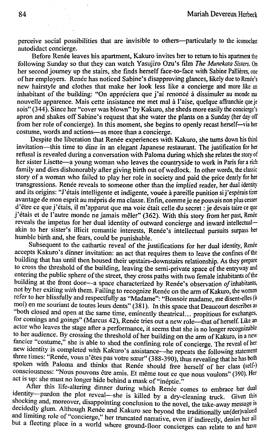perceive social possibilities that are invisible to others—particularly to the iconoclast autodidact concierge.

Before Renée leaves his apartment, Kakuro invites her to return to his apartment the following Sunday so that they can watch Yasujiro Ozu's film *The Munekata Sisters*. On her second journey up the stairs, she finds herself face-to-face with Sabine Pallières, one of her employers. Renée has noticed Sabine's disapproving glances, likely due to Renée's new hairstyle and clothes that make her look less like a concierge and more like an inhabitant of the building: "On appreciera que j'ai renonce à dissimuler au monde ma nouvelle apparence. Mais cette insistance me met mal a l'aise, quelque affianchie que je sois" (344). Since her "cover was blown" by Kakuro, she sheds more easily the concierge's apron and shakes off Sabine's request that she water the plants on a Sunday (her day off from her role of concierge). In this moment, she begins to openly recast herself-via her costume, words and actions-as more than a concierge.

Despite the liberation that Renée experiences with Kakuro, she turns down his third invitation-this time to dine in an elegant Japanese restaurant. The justification for her refusal is revealed during a conversation with Paloma during which she relates the story of her sister Lisette—a young woman who leaves the countryside to work in Paris for a rich family and dies dishonorably after giving birth out of wedlock. In other words, the classic story of a woman who failed to play her role in society and paid the price dearly for her transgressions. Renée reveals to someone other than the implied reader, her dual identity and its origins: "J'étais intelligente et indigente, vouée à pareille punition si j'espérais tirer avantage de mon esprit au mépris de ma classe. En fin, comme je ne pouvais non plus cesser d'être ce que j'étais, il m'apparut que ma voie était celle du secret : je devais taire ce que j'étais et de l'autre monde ne jamais mêler" (362). With this story from her past, Renée reveals the impetus for her dual identity of outward concierge and inward intellectualakin to her sister's illicit romantic interests, Renée's intellectual pursuits surpass her humble birth and, she fears, could be punishable.

Subsequent to the cathartic reveal of the justifications for her dual identity, Renée accepts Kakuro's dinner invitation: an act that requires them to leave the confmes of the building that has until then housed their upstairs-downstairs relationship. As they prepare to cross the threshold of the building, leaving the semi-private space of the entryway and entering the public sphere of the street, they cross paths with two female inhabitants of the building at the front door-a space characterized by Renee's observation of inhabitants, not by her exiting *with* them. Failing to recognize Renée on the arm of Kakuro, the women refer to her blissfully and respectfully as "Madame": "Bonsoir madame, me disent-elles (a moi) en me souriant de toutes leurs dents" (381 ). In this space that Deaucourt describes as "both closed and open at the same time, eminently theatrical... propitious for exchanges, for comings and goings" (Marcus 42), Renée tries out a new role-that of herself. Like an actor who leaves the stage after a performance, it seems that she is no longer recognizable to her audience. By crossing the threshold of her building on the arm of Kakuro, in a new fancier "costume," she is able to shed the confining role of concierge. The reveal of her new identity is completed with Kakuro's assistance-he repeats the following statement three times: "Renée, vous n'êtes pas votre sœur" (388-390), thus revealing that he has both spoken with Paloma and thinks that Renée should free herself of her class (self-) consciousness: "Nous pouvons être amis. Et même tout ce que nous voulons" (390). Her act is up: she must no longer hide behind a mask of "inéptie."

After this life-altering dinner during which Renée comes to embrace her dual identity-pardon the plot reveal-she is killed by a dry-cleaning truck. Given this shocking and, moreover, disappointing conclusion to the novel, the take-away message is decidedly glum. Although Renée and Kakuro see beyond the traditionally un(der)valued and limiting role of "concierge," her truncated narrative, even if indirectly, denies her all but a fleeting place in a world where ground-floor concierges can relate to and have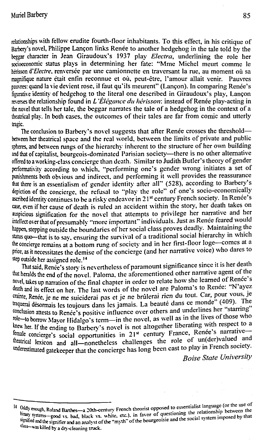relationships with fellow erudite fourth-floor inhabitants. To this effect, in his critique of Barbery's novel, Philippe Lancon links Renee to another hedgehog in the tale told by the beggar character in Jean Giraudoux's 1937 play *Electra*, underlining the role her socioeconomic status plays in determining her fate: "Mme Michel meurt cornme le herisson d'*Electre*, renversée par une camionnette en traversant la rue, au moment où sa magnifique nature etait enfin reconnue et ou, peut-etre, !'amour allait venir. Pauvres pauvres: quand la vie devient rose, il faut qu'ils meurent" (Lançon). In comparing Renée's figurative identity of hedgehog to the literal one described in Giraudoux's play, Lancon reverses the relationship found in *L'Élégance du hérisson*: instead of Renée play-acting in the novel that tells her talc, the beggar narrates the tale of a hedgehog in the context of a theatrical play. In both cases, the outcomes of their tales are far from comic and utterly tragic.

The conclusion to Barbery's novel suggests that after Renée crosses the thresholdbetween her theatrical space and the real world, between the limits of private and public spheres, and between rungs of the hierarchy inherent to the structure of her own building and that of capitalist, bourgeois-dominated Parisian society—there is no other alternative offered to a working-class concierge than death. Similar to Judith Butler's theory of gender performativity according to which, "performing one's gender wrong initiates a set of punishments both obvious and indirect, and performing it well provides the reassurance that there is an essentialism of gender identity after all" (528), according to Barbery's depiction of the concierge, the refusal to "play the role" of one's socio-economically ascribed identity continues to be a risky endeavor in 21<sup>st</sup> century French society. In Renée's case, even if her cause of death is ruled an accident within the story, her death takes on auspicious signification for the novel that attempts to privilege her narrative and her intellect over that of presumably "more important" individuals. Just as Renée feared would happen, stepping outside the boundaries of her social class proves deadly. Maintaining the status quo-that is to say, ensuring the survival of a traditional social hierarchy in which the concierge remains at a bottom rung of society and in her first-floor loge-comes at a price, as it necessitates the demise of the concierge (and her narrative voice) who dares to step outside her assigned role. <sup>1</sup>4

That said, Renee's story is nevertheless of paramount significance since it is her death that heralds the end of the novel. Paloma, the aforementioned other narrative agent of the novel, takes up narration of the final chapter in order to relate how she learned of Renée's death and its effect on her. The last words of the novel are Paloma's to Renée: "N'ayez crainte, Renée, je ne me suiciderai pas et je ne brûlerai rien du tout. Car, pour vous, je traquerai desormais les toujours dans les jamais. La beauté dans ce monde" (409). The conclusion attests to Renée's positive influence over others and underlines her "starring" role-to borrow Mayor Hidalgo's term-in the novel, as well as in the lives of those who knew her. If the ending to Barbery's novel is not altogether liberating with respect to a female concierge's social opportunities in 21<sup>st</sup> century France, Renée's narrativetheatrical lexicon and all-nonetheless challenges the role of un(der)valued and underestimated gatekeeper that the concierge has long been cast to play in French society.

*Boise State University* 

<sup>14</sup> Oddly enough, Roland Barthes-a 20th-century French theorist opposed to essentialist language (or the use of<br>himan and altitude the relationship hetween the binary systems-wousing barines-a cum-century rietici theories of questioning the relationship between the signified and it. Equationing the relationship between the signified and it. signified and the signifier and an analyst of the "myth" of the bourgeoisie and the social system imposed by that<br>class-used the social system imposed by that class-was killed by a dry-cleaning truck.